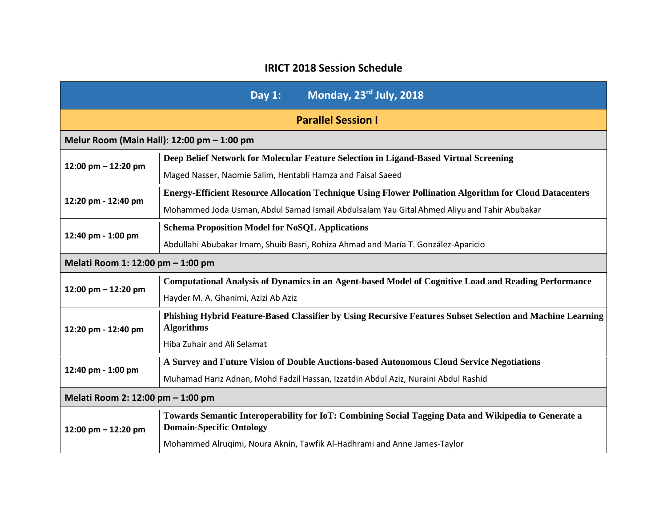## **IRICT 2018 Session Schedule**

| Monday, 23rd July, 2018<br>Day $1:$ |                                                                                                                                         |
|-------------------------------------|-----------------------------------------------------------------------------------------------------------------------------------------|
| <b>Parallel Session I</b>           |                                                                                                                                         |
|                                     | Melur Room (Main Hall): 12:00 pm - 1:00 pm                                                                                              |
| 12:00 pm - 12:20 pm                 | Deep Belief Network for Molecular Feature Selection in Ligand-Based Virtual Screening                                                   |
|                                     | Maged Nasser, Naomie Salim, Hentabli Hamza and Faisal Saeed                                                                             |
| 12:20 pm - 12:40 pm                 | <b>Energy-Efficient Resource Allocation Technique Using Flower Pollination Algorithm for Cloud Datacenters</b>                          |
|                                     | Mohammed Joda Usman, Abdul Samad Ismail Abdulsalam Yau Gital Ahmed Aliyu and Tahir Abubakar                                             |
| 12:40 pm - 1:00 pm                  | <b>Schema Proposition Model for NoSQL Applications</b>                                                                                  |
|                                     | Abdullahi Abubakar Imam, Shuib Basri, Rohiza Ahmad and María T. González-Aparicio                                                       |
| Melati Room 1: 12:00 pm - 1:00 pm   |                                                                                                                                         |
| 12:00 pm $-$ 12:20 pm               | <b>Computational Analysis of Dynamics in an Agent-based Model of Cognitive Load and Reading Performance</b>                             |
|                                     | Hayder M. A. Ghanimi, Azizi Ab Aziz                                                                                                     |
| 12:20 pm - 12:40 pm                 | Phishing Hybrid Feature-Based Classifier by Using Recursive Features Subset Selection and Machine Learning<br><b>Algorithms</b>         |
|                                     | Hiba Zuhair and Ali Selamat                                                                                                             |
|                                     | A Survey and Future Vision of Double Auctions-based Autonomous Cloud Service Negotiations                                               |
| 12:40 pm - 1:00 pm                  | Muhamad Hariz Adnan, Mohd Fadzil Hassan, Izzatdin Abdul Aziz, Nuraini Abdul Rashid                                                      |
| Melati Room 2: 12:00 pm - 1:00 pm   |                                                                                                                                         |
| 12:00 pm $-$ 12:20 pm               | Towards Semantic Interoperability for IoT: Combining Social Tagging Data and Wikipedia to Generate a<br><b>Domain-Specific Ontology</b> |
|                                     | Mohammed Alruqimi, Noura Aknin, Tawfik Al-Hadhrami and Anne James-Taylor                                                                |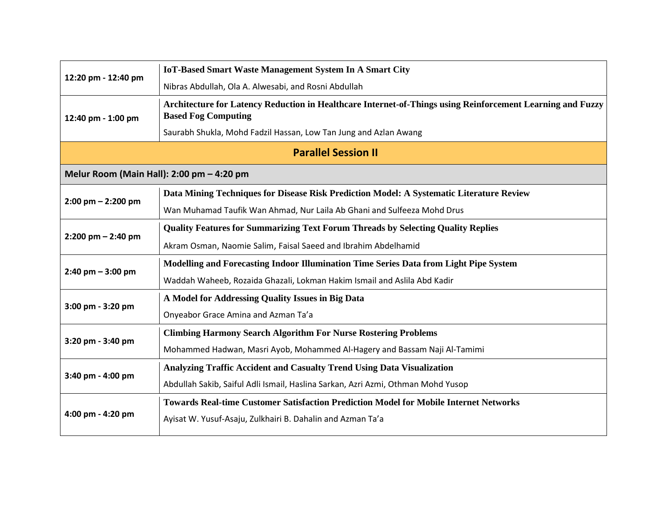| 12:20 pm - 12:40 pm                       | <b>IoT-Based Smart Waste Management System In A Smart City</b>                                                                           |  |
|-------------------------------------------|------------------------------------------------------------------------------------------------------------------------------------------|--|
|                                           | Nibras Abdullah, Ola A. Alwesabi, and Rosni Abdullah                                                                                     |  |
| 12:40 pm - 1:00 pm                        | Architecture for Latency Reduction in Healthcare Internet-of-Things using Reinforcement Learning and Fuzzy<br><b>Based Fog Computing</b> |  |
|                                           | Saurabh Shukla, Mohd Fadzil Hassan, Low Tan Jung and Azlan Awang                                                                         |  |
| <b>Parallel Session II</b>                |                                                                                                                                          |  |
| Melur Room (Main Hall): 2:00 pm - 4:20 pm |                                                                                                                                          |  |
| $2:00 \text{ pm} - 2:200 \text{ pm}$      | Data Mining Techniques for Disease Risk Prediction Model: A Systematic Literature Review                                                 |  |
|                                           | Wan Muhamad Taufik Wan Ahmad, Nur Laila Ab Ghani and Sulfeeza Mohd Drus                                                                  |  |
| $2:200$ pm $- 2:40$ pm                    | <b>Quality Features for Summarizing Text Forum Threads by Selecting Quality Replies</b>                                                  |  |
|                                           | Akram Osman, Naomie Salim, Faisal Saeed and Ibrahim Abdelhamid                                                                           |  |
| $2:40 \text{ pm} - 3:00 \text{ pm}$       | Modelling and Forecasting Indoor Illumination Time Series Data from Light Pipe System                                                    |  |
|                                           | Waddah Waheeb, Rozaida Ghazali, Lokman Hakim Ismail and Aslila Abd Kadir                                                                 |  |
|                                           | A Model for Addressing Quality Issues in Big Data                                                                                        |  |
| 3:00 pm - 3:20 pm                         | Onyeabor Grace Amina and Azman Ta'a                                                                                                      |  |
|                                           | <b>Climbing Harmony Search Algorithm For Nurse Rostering Problems</b>                                                                    |  |
| 3:20 pm - 3:40 pm                         | Mohammed Hadwan, Masri Ayob, Mohammed Al-Hagery and Bassam Naji Al-Tamimi                                                                |  |
|                                           | Analyzing Traffic Accident and Casualty Trend Using Data Visualization                                                                   |  |
| 3:40 pm - 4:00 pm                         | Abdullah Sakib, Saiful Adli Ismail, Haslina Sarkan, Azri Azmi, Othman Mohd Yusop                                                         |  |
| 4:00 pm - 4:20 pm                         | <b>Towards Real-time Customer Satisfaction Prediction Model for Mobile Internet Networks</b>                                             |  |
|                                           | Ayisat W. Yusuf-Asaju, Zulkhairi B. Dahalin and Azman Ta'a                                                                               |  |
|                                           |                                                                                                                                          |  |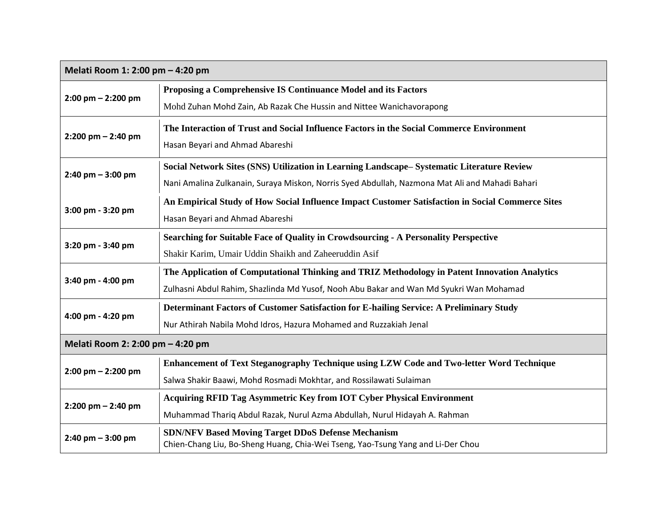| Melati Room 1: 2:00 pm - 4:20 pm     |                                                                                                                                              |
|--------------------------------------|----------------------------------------------------------------------------------------------------------------------------------------------|
| $2:00 \text{ pm} - 2:200 \text{ pm}$ | Proposing a Comprehensive IS Continuance Model and its Factors                                                                               |
|                                      | Mohd Zuhan Mohd Zain, Ab Razak Che Hussin and Nittee Wanichavorapong                                                                         |
| $2:200$ pm $- 2:40$ pm               | The Interaction of Trust and Social Influence Factors in the Social Commerce Environment                                                     |
|                                      | Hasan Beyari and Ahmad Abareshi                                                                                                              |
|                                      | Social Network Sites (SNS) Utilization in Learning Landscape– Systematic Literature Review                                                   |
| $2:40 \text{ pm} - 3:00 \text{ pm}$  | Nani Amalina Zulkanain, Suraya Miskon, Norris Syed Abdullah, Nazmona Mat Ali and Mahadi Bahari                                               |
|                                      | An Empirical Study of How Social Influence Impact Customer Satisfaction in Social Commerce Sites                                             |
| 3:00 pm - 3:20 pm                    | Hasan Beyari and Ahmad Abareshi                                                                                                              |
|                                      | Searching for Suitable Face of Quality in Crowdsourcing - A Personality Perspective                                                          |
| 3:20 pm - 3:40 pm                    | Shakir Karim, Umair Uddin Shaikh and Zaheeruddin Asif                                                                                        |
| 3:40 pm - 4:00 pm                    | The Application of Computational Thinking and TRIZ Methodology in Patent Innovation Analytics                                                |
|                                      | Zulhasni Abdul Rahim, Shazlinda Md Yusof, Nooh Abu Bakar and Wan Md Syukri Wan Mohamad                                                       |
| 4:00 pm - 4:20 pm                    | Determinant Factors of Customer Satisfaction for E-hailing Service: A Preliminary Study                                                      |
|                                      | Nur Athirah Nabila Mohd Idros, Hazura Mohamed and Ruzzakiah Jenal                                                                            |
| Melati Room 2: 2:00 pm - 4:20 pm     |                                                                                                                                              |
|                                      | Enhancement of Text Steganography Technique using LZW Code and Two-letter Word Technique                                                     |
| $2:00 \text{ pm} - 2:200 \text{ pm}$ | Salwa Shakir Baawi, Mohd Rosmadi Mokhtar, and Rossilawati Sulaiman                                                                           |
| $2:200$ pm $- 2:40$ pm               | <b>Acquiring RFID Tag Asymmetric Key from IOT Cyber Physical Environment</b>                                                                 |
|                                      | Muhammad Thariq Abdul Razak, Nurul Azma Abdullah, Nurul Hidayah A. Rahman                                                                    |
| $2:40 \text{ pm} - 3:00 \text{ pm}$  | <b>SDN/NFV Based Moving Target DDoS Defense Mechanism</b><br>Chien-Chang Liu, Bo-Sheng Huang, Chia-Wei Tseng, Yao-Tsung Yang and Li-Der Chou |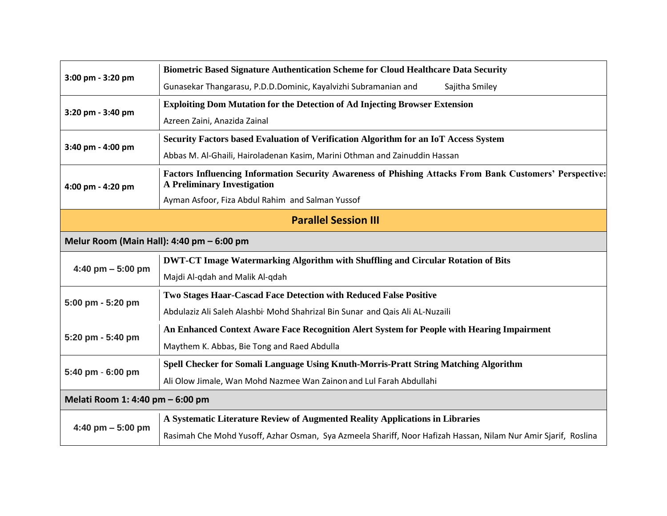| 3:00 pm - 3:20 pm                         | <b>Biometric Based Signature Authentication Scheme for Cloud Healthcare Data Security</b>                                                      |  |
|-------------------------------------------|------------------------------------------------------------------------------------------------------------------------------------------------|--|
|                                           | Gunasekar Thangarasu, P.D.D.Dominic, Kayalvizhi Subramanian and<br>Sajitha Smiley                                                              |  |
| 3:20 pm - 3:40 pm                         | <b>Exploiting Dom Mutation for the Detection of Ad Injecting Browser Extension</b>                                                             |  |
|                                           | Azreen Zaini, Anazida Zainal                                                                                                                   |  |
| 3:40 pm - 4:00 pm                         | Security Factors based Evaluation of Verification Algorithm for an IoT Access System                                                           |  |
|                                           | Abbas M. Al-Ghaili, Hairoladenan Kasim, Marini Othman and Zainuddin Hassan                                                                     |  |
| 4:00 pm - 4:20 pm                         | Factors Influencing Information Security Awareness of Phishing Attacks From Bank Customers' Perspective:<br><b>A Preliminary Investigation</b> |  |
|                                           | Ayman Asfoor, Fiza Abdul Rahim and Salman Yussof                                                                                               |  |
| <b>Parallel Session III</b>               |                                                                                                                                                |  |
| Melur Room (Main Hall): 4:40 pm - 6:00 pm |                                                                                                                                                |  |
|                                           | <b>DWT-CT Image Watermarking Algorithm with Shuffling and Circular Rotation of Bits</b>                                                        |  |
| 4:40 pm $-$ 5:00 pm                       | Majdi Al-qdah and Malik Al-qdah                                                                                                                |  |
| 5:00 pm - 5:20 pm                         | Two Stages Haar-Cascad Face Detection with Reduced False Positive                                                                              |  |
|                                           | Abdulaziz Ali Saleh Alashbi <sup>,</sup> Mohd Shahrizal Bin Sunar and Qais Ali AL-Nuzaili                                                      |  |
| 5:20 pm - 5:40 pm                         | An Enhanced Context Aware Face Recognition Alert System for People with Hearing Impairment                                                     |  |
|                                           | Maythem K. Abbas, Bie Tong and Raed Abdulla                                                                                                    |  |
|                                           | Spell Checker for Somali Language Using Knuth-Morris-Pratt String Matching Algorithm                                                           |  |
| 5:40 pm - 6:00 pm                         | Ali Olow Jimale, Wan Mohd Nazmee Wan Zainon and Lul Farah Abdullahi                                                                            |  |
| Melati Room 1: 4:40 pm - 6:00 pm          |                                                                                                                                                |  |
| 4:40 pm $-$ 5:00 pm                       | A Systematic Literature Review of Augmented Reality Applications in Libraries                                                                  |  |
|                                           | Rasimah Che Mohd Yusoff, Azhar Osman, Sya Azmeela Shariff, Noor Hafizah Hassan, Nilam Nur Amir Sjarif, Roslina                                 |  |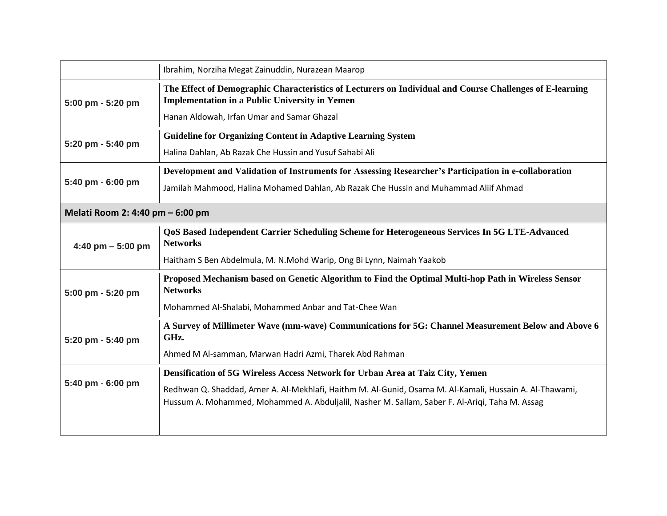|                                  | Ibrahim, Norziha Megat Zainuddin, Nurazean Maarop                                                                                                                                                         |  |
|----------------------------------|-----------------------------------------------------------------------------------------------------------------------------------------------------------------------------------------------------------|--|
| 5:00 pm - 5:20 pm                | The Effect of Demographic Characteristics of Lecturers on Individual and Course Challenges of E-learning<br><b>Implementation in a Public University in Yemen</b>                                         |  |
|                                  | Hanan Aldowah, Irfan Umar and Samar Ghazal                                                                                                                                                                |  |
|                                  | <b>Guideline for Organizing Content in Adaptive Learning System</b>                                                                                                                                       |  |
| 5:20 pm - 5:40 pm                | Halina Dahlan, Ab Razak Che Hussin and Yusuf Sahabi Ali                                                                                                                                                   |  |
|                                  | Development and Validation of Instruments for Assessing Researcher's Participation in e-collaboration                                                                                                     |  |
| 5:40 pm - 6:00 pm                | Jamilah Mahmood, Halina Mohamed Dahlan, Ab Razak Che Hussin and Muhammad Aliif Ahmad                                                                                                                      |  |
| Melati Room 2: 4:40 pm - 6:00 pm |                                                                                                                                                                                                           |  |
| 4:40 pm $-$ 5:00 pm              | QoS Based Independent Carrier Scheduling Scheme for Heterogeneous Services In 5G LTE-Advanced<br><b>Networks</b>                                                                                          |  |
|                                  | Haitham S Ben Abdelmula, M. N.Mohd Warip, Ong Bi Lynn, Naimah Yaakob                                                                                                                                      |  |
| 5:00 pm - 5:20 pm                | Proposed Mechanism based on Genetic Algorithm to Find the Optimal Multi-hop Path in Wireless Sensor<br><b>Networks</b>                                                                                    |  |
|                                  | Mohammed Al-Shalabi, Mohammed Anbar and Tat-Chee Wan                                                                                                                                                      |  |
| 5:20 pm - 5:40 pm                | A Survey of Millimeter Wave (mm-wave) Communications for 5G: Channel Measurement Below and Above 6<br>GHz.                                                                                                |  |
|                                  | Ahmed M Al-samman, Marwan Hadri Azmi, Tharek Abd Rahman                                                                                                                                                   |  |
| 5:40 pm - 6:00 pm                | Densification of 5G Wireless Access Network for Urban Area at Taiz City, Yemen                                                                                                                            |  |
|                                  | Redhwan Q. Shaddad, Amer A. Al-Mekhlafi, Haithm M. Al-Gunid, Osama M. Al-Kamali, Hussain A. Al-Thawami,<br>Hussum A. Mohammed, Mohammed A. Abduljalil, Nasher M. Sallam, Saber F. Al-Ariqi, Taha M. Assag |  |
|                                  |                                                                                                                                                                                                           |  |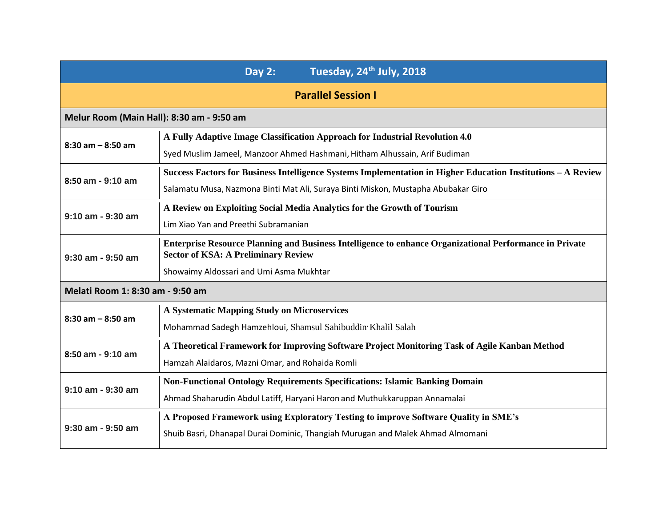| Tuesday, 24 <sup>th</sup> July, 2018<br><b>Day 2:</b> |                                                                                                                                                              |  |
|-------------------------------------------------------|--------------------------------------------------------------------------------------------------------------------------------------------------------------|--|
|                                                       | <b>Parallel Session I</b>                                                                                                                                    |  |
| Melur Room (Main Hall): 8:30 am - 9:50 am             |                                                                                                                                                              |  |
| $8:30$ am $-8:50$ am                                  | A Fully Adaptive Image Classification Approach for Industrial Revolution 4.0                                                                                 |  |
|                                                       | Syed Muslim Jameel, Manzoor Ahmed Hashmani, Hitham Alhussain, Arif Budiman                                                                                   |  |
| 8:50 am - 9:10 am                                     | Success Factors for Business Intelligence Systems Implementation in Higher Education Institutions - A Review                                                 |  |
|                                                       | Salamatu Musa, Nazmona Binti Mat Ali, Suraya Binti Miskon, Mustapha Abubakar Giro                                                                            |  |
| $9:10$ am - $9:30$ am                                 | A Review on Exploiting Social Media Analytics for the Growth of Tourism                                                                                      |  |
|                                                       | Lim Xiao Yan and Preethi Subramanian                                                                                                                         |  |
| $9:30$ am - $9:50$ am                                 | <b>Enterprise Resource Planning and Business Intelligence to enhance Organizational Performance in Private</b><br><b>Sector of KSA: A Preliminary Review</b> |  |
|                                                       | Showaimy Aldossari and Umi Asma Mukhtar                                                                                                                      |  |
| Melati Room 1: 8:30 am - 9:50 am                      |                                                                                                                                                              |  |
|                                                       | A Systematic Mapping Study on Microservices                                                                                                                  |  |
| $8:30$ am $-8:50$ am                                  | Mohammad Sadegh Hamzehloui, Shamsul Sahibuddin Khalil Salah                                                                                                  |  |
|                                                       | A Theoretical Framework for Improving Software Project Monitoring Task of Agile Kanban Method                                                                |  |
| 8:50 am - 9:10 am                                     | Hamzah Alaidaros, Mazni Omar, and Rohaida Romli                                                                                                              |  |
|                                                       | <b>Non-Functional Ontology Requirements Specifications: Islamic Banking Domain</b>                                                                           |  |
| $9:10$ am - $9:30$ am                                 | Ahmad Shaharudin Abdul Latiff, Haryani Haron and Muthukkaruppan Annamalai                                                                                    |  |
| $9:30$ am - $9:50$ am                                 | A Proposed Framework using Exploratory Testing to improve Software Quality in SME's                                                                          |  |
|                                                       | Shuib Basri, Dhanapal Durai Dominic, Thangiah Murugan and Malek Ahmad Almomani                                                                               |  |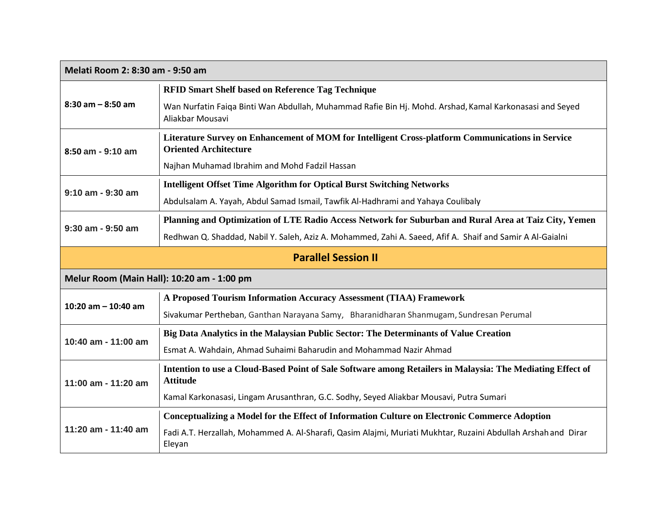| Melati Room 2: 8:30 am - 9:50 am           |                                                                                                                                  |  |
|--------------------------------------------|----------------------------------------------------------------------------------------------------------------------------------|--|
| $8:30$ am $-8:50$ am                       | <b>RFID Smart Shelf based on Reference Tag Technique</b>                                                                         |  |
|                                            | Wan Nurfatin Faiqa Binti Wan Abdullah, Muhammad Rafie Bin Hj. Mohd. Arshad, Kamal Karkonasasi and Seyed<br>Aliakbar Mousavi      |  |
| 8:50 am - 9:10 am                          | Literature Survey on Enhancement of MOM for Intelligent Cross-platform Communications in Service<br><b>Oriented Architecture</b> |  |
|                                            | Najhan Muhamad Ibrahim and Mohd Fadzil Hassan                                                                                    |  |
|                                            | <b>Intelligent Offset Time Algorithm for Optical Burst Switching Networks</b>                                                    |  |
| $9:10$ am - $9:30$ am                      | Abdulsalam A. Yayah, Abdul Samad Ismail, Tawfik Al-Hadhrami and Yahaya Coulibaly                                                 |  |
|                                            | Planning and Optimization of LTE Radio Access Network for Suburban and Rural Area at Taiz City, Yemen                            |  |
| 9:30 am - 9:50 am                          | Redhwan Q. Shaddad, Nabil Y. Saleh, Aziz A. Mohammed, Zahi A. Saeed, Afif A. Shaif and Samir A Al-Gaialni                        |  |
| <b>Parallel Session II</b>                 |                                                                                                                                  |  |
| Melur Room (Main Hall): 10:20 am - 1:00 pm |                                                                                                                                  |  |
|                                            | A Proposed Tourism Information Accuracy Assessment (TIAA) Framework                                                              |  |
| 10:20 am $-$ 10:40 am                      | Sivakumar Pertheban, Ganthan Narayana Samy, Bharanidharan Shanmugam, Sundresan Perumal                                           |  |
|                                            | Big Data Analytics in the Malaysian Public Sector: The Determinants of Value Creation                                            |  |
| 10:40 am - 11:00 am                        | Esmat A. Wahdain, Ahmad Suhaimi Baharudin and Mohammad Nazir Ahmad                                                               |  |
| 11:00 am - 11:20 am                        | Intention to use a Cloud-Based Point of Sale Software among Retailers in Malaysia: The Mediating Effect of<br><b>Attitude</b>    |  |
|                                            | Kamal Karkonasasi, Lingam Arusanthran, G.C. Sodhy, Seyed Aliakbar Mousavi, Putra Sumari                                          |  |
| 11:20 am - 11:40 am                        | <b>Conceptualizing a Model for the Effect of Information Culture on Electronic Commerce Adoption</b>                             |  |
|                                            | Fadi A.T. Herzallah, Mohammed A. Al-Sharafi, Qasim Alajmi, Muriati Mukhtar, Ruzaini Abdullah Arshah and Dirar<br>Eleyan          |  |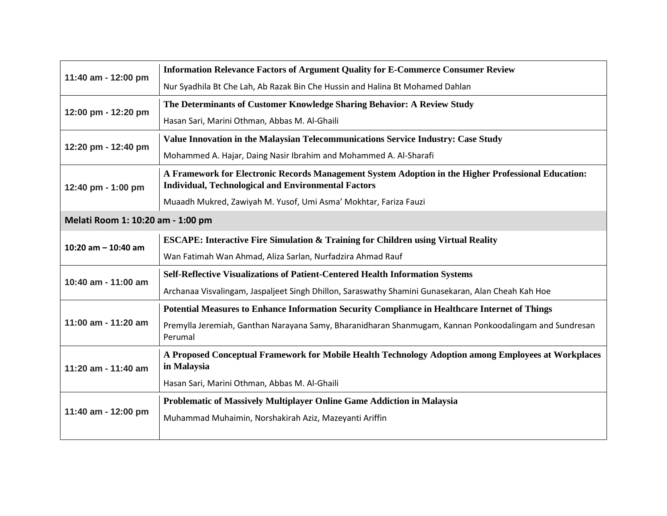| 11:40 am - 12:00 pm               | <b>Information Relevance Factors of Argument Quality for E-Commerce Consumer Review</b>                                                                           |  |
|-----------------------------------|-------------------------------------------------------------------------------------------------------------------------------------------------------------------|--|
|                                   | Nur Syadhila Bt Che Lah, Ab Razak Bin Che Hussin and Halina Bt Mohamed Dahlan                                                                                     |  |
| 12:00 pm - 12:20 pm               | The Determinants of Customer Knowledge Sharing Behavior: A Review Study                                                                                           |  |
|                                   | Hasan Sari, Marini Othman, Abbas M. Al-Ghaili                                                                                                                     |  |
| 12:20 pm - 12:40 pm               | Value Innovation in the Malaysian Telecommunications Service Industry: Case Study                                                                                 |  |
|                                   | Mohammed A. Hajar, Daing Nasir Ibrahim and Mohammed A. Al-Sharafi                                                                                                 |  |
| 12:40 pm - 1:00 pm                | A Framework for Electronic Records Management System Adoption in the Higher Professional Education:<br><b>Individual, Technological and Environmental Factors</b> |  |
|                                   | Muaadh Mukred, Zawiyah M. Yusof, Umi Asma' Mokhtar, Fariza Fauzi                                                                                                  |  |
| Melati Room 1: 10:20 am - 1:00 pm |                                                                                                                                                                   |  |
|                                   | <b>ESCAPE: Interactive Fire Simulation &amp; Training for Children using Virtual Reality</b>                                                                      |  |
| 10:20 am $-$ 10:40 am             | Wan Fatimah Wan Ahmad, Aliza Sarlan, Nurfadzira Ahmad Rauf                                                                                                        |  |
| 10:40 am - 11:00 am               | <b>Self-Reflective Visualizations of Patient-Centered Health Information Systems</b>                                                                              |  |
|                                   | Archanaa Visvalingam, Jaspaljeet Singh Dhillon, Saraswathy Shamini Gunasekaran, Alan Cheah Kah Hoe                                                                |  |
|                                   | Potential Measures to Enhance Information Security Compliance in Healthcare Internet of Things                                                                    |  |
| 11:00 am - 11:20 am               | Premylla Jeremiah, Ganthan Narayana Samy, Bharanidharan Shanmugam, Kannan Ponkoodalingam and Sundresan<br>Perumal                                                 |  |
| 11:20 am - 11:40 am               | A Proposed Conceptual Framework for Mobile Health Technology Adoption among Employees at Workplaces<br>in Malaysia                                                |  |
|                                   | Hasan Sari, Marini Othman, Abbas M. Al-Ghaili                                                                                                                     |  |
| 11:40 am - 12:00 pm               | <b>Problematic of Massively Multiplayer Online Game Addiction in Malaysia</b>                                                                                     |  |
|                                   | Muhammad Muhaimin, Norshakirah Aziz, Mazeyanti Ariffin                                                                                                            |  |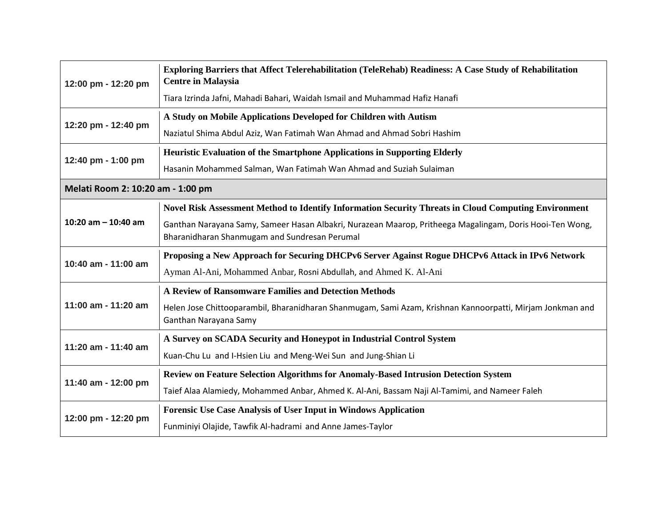| 12:00 pm - 12:20 pm               | Exploring Barriers that Affect Telerehabilitation (TeleRehab) Readiness: A Case Study of Rehabilitation<br><b>Centre in Malaysia</b>                      |  |
|-----------------------------------|-----------------------------------------------------------------------------------------------------------------------------------------------------------|--|
|                                   | Tiara Izrinda Jafni, Mahadi Bahari, Waidah Ismail and Muhammad Hafiz Hanafi                                                                               |  |
| 12:20 pm - 12:40 pm               | A Study on Mobile Applications Developed for Children with Autism                                                                                         |  |
|                                   | Naziatul Shima Abdul Aziz, Wan Fatimah Wan Ahmad and Ahmad Sobri Hashim                                                                                   |  |
|                                   | Heuristic Evaluation of the Smartphone Applications in Supporting Elderly                                                                                 |  |
| 12:40 pm - 1:00 pm                | Hasanin Mohammed Salman, Wan Fatimah Wan Ahmad and Suziah Sulaiman                                                                                        |  |
| Melati Room 2: 10:20 am - 1:00 pm |                                                                                                                                                           |  |
|                                   | Novel Risk Assessment Method to Identify Information Security Threats in Cloud Computing Environment                                                      |  |
| 10:20 am $-$ 10:40 am             | Ganthan Narayana Samy, Sameer Hasan Albakri, Nurazean Maarop, Pritheega Magalingam, Doris Hooi-Ten Wong,<br>Bharanidharan Shanmugam and Sundresan Perumal |  |
| 10:40 am - 11:00 am               | Proposing a New Approach for Securing DHCPv6 Server Against Rogue DHCPv6 Attack in IPv6 Network                                                           |  |
|                                   | Ayman Al-Ani, Mohammed Anbar, Rosni Abdullah, and Ahmed K. Al-Ani                                                                                         |  |
| 11:00 am - 11:20 am               | A Review of Ransomware Families and Detection Methods                                                                                                     |  |
|                                   | Helen Jose Chittooparambil, Bharanidharan Shanmugam, Sami Azam, Krishnan Kannoorpatti, Mirjam Jonkman and<br>Ganthan Narayana Samy                        |  |
|                                   | A Survey on SCADA Security and Honeypot in Industrial Control System                                                                                      |  |
| 11:20 am - 11:40 am               | Kuan-Chu Lu and I-Hsien Liu and Meng-Wei Sun and Jung-Shian Li                                                                                            |  |
| 11:40 am - 12:00 pm               | <b>Review on Feature Selection Algorithms for Anomaly-Based Intrusion Detection System</b>                                                                |  |
|                                   | Taief Alaa Alamiedy, Mohammed Anbar, Ahmed K. Al-Ani, Bassam Naji Al-Tamimi, and Nameer Faleh                                                             |  |
| 12:00 pm - 12:20 pm               | <b>Forensic Use Case Analysis of User Input in Windows Application</b>                                                                                    |  |
|                                   | Funminiyi Olajide, Tawfik Al-hadrami and Anne James-Taylor                                                                                                |  |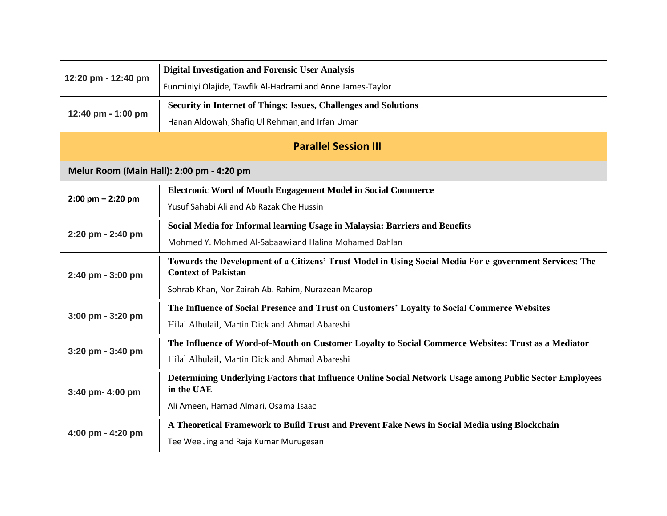|                                           | <b>Digital Investigation and Forensic User Analysis</b>                                                                               |  |
|-------------------------------------------|---------------------------------------------------------------------------------------------------------------------------------------|--|
| 12:20 pm - 12:40 pm                       | Funminiyi Olajide, Tawfik Al-Hadrami and Anne James-Taylor                                                                            |  |
|                                           | <b>Security in Internet of Things: Issues, Challenges and Solutions</b>                                                               |  |
| 12:40 pm - 1:00 pm                        | Hanan Aldowah, Shafiq Ul Rehman, and Irfan Umar                                                                                       |  |
| <b>Parallel Session III</b>               |                                                                                                                                       |  |
| Melur Room (Main Hall): 2:00 pm - 4:20 pm |                                                                                                                                       |  |
|                                           | <b>Electronic Word of Mouth Engagement Model in Social Commerce</b>                                                                   |  |
| $2:00$ pm $- 2:20$ pm                     | Yusuf Sahabi Ali and Ab Razak Che Hussin                                                                                              |  |
|                                           | Social Media for Informal learning Usage in Malaysia: Barriers and Benefits                                                           |  |
| 2:20 pm - 2:40 pm                         | Mohmed Y. Mohmed Al-Sabaawi and Halina Mohamed Dahlan                                                                                 |  |
| 2:40 pm - 3:00 pm                         | Towards the Development of a Citizens' Trust Model in Using Social Media For e-government Services: The<br><b>Context of Pakistan</b> |  |
|                                           | Sohrab Khan, Nor Zairah Ab. Rahim, Nurazean Maarop                                                                                    |  |
| $3:00$ pm - $3:20$ pm                     | The Influence of Social Presence and Trust on Customers' Loyalty to Social Commerce Websites                                          |  |
|                                           | Hilal Alhulail, Martin Dick and Ahmad Abareshi                                                                                        |  |
| 3:20 pm - 3:40 pm                         | The Influence of Word-of-Mouth on Customer Loyalty to Social Commerce Websites: Trust as a Mediator                                   |  |
|                                           | Hilal Alhulail, Martin Dick and Ahmad Abareshi                                                                                        |  |
| 3:40 pm- 4:00 pm                          | Determining Underlying Factors that Influence Online Social Network Usage among Public Sector Employees<br>in the UAE                 |  |
|                                           | Ali Ameen, Hamad Almari, Osama Isaac                                                                                                  |  |
| 4:00 pm - 4:20 pm                         | A Theoretical Framework to Build Trust and Prevent Fake News in Social Media using Blockchain                                         |  |
|                                           | Tee Wee Jing and Raja Kumar Murugesan                                                                                                 |  |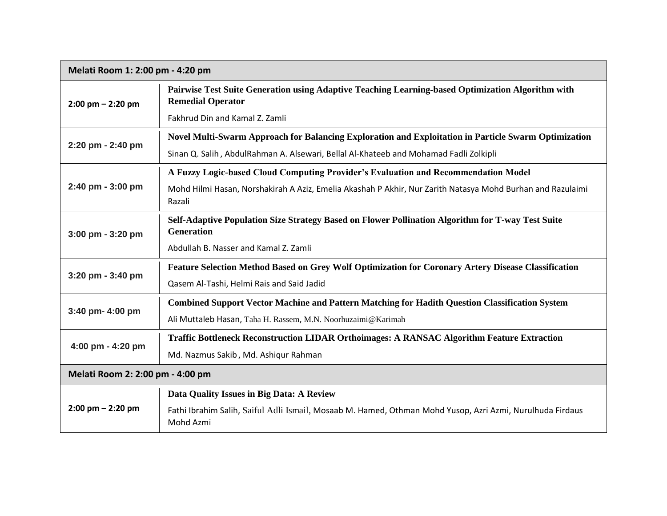| Melati Room 1: 2:00 pm - 4:20 pm    |                                                                                                                               |
|-------------------------------------|-------------------------------------------------------------------------------------------------------------------------------|
| $2:00$ pm $- 2:20$ pm               | Pairwise Test Suite Generation using Adaptive Teaching Learning-based Optimization Algorithm with<br><b>Remedial Operator</b> |
|                                     | Fakhrud Din and Kamal Z. Zamli                                                                                                |
| 2:20 pm - 2:40 pm                   | Novel Multi-Swarm Approach for Balancing Exploration and Exploitation in Particle Swarm Optimization                          |
|                                     | Sinan Q. Salih, AbdulRahman A. Alsewari, Bellal Al-Khateeb and Mohamad Fadli Zolkipli                                         |
|                                     | A Fuzzy Logic-based Cloud Computing Provider's Evaluation and Recommendation Model                                            |
| 2:40 pm - 3:00 pm                   | Mohd Hilmi Hasan, Norshakirah A Aziz, Emelia Akashah P Akhir, Nur Zarith Natasya Mohd Burhan and Razulaimi<br>Razali          |
| 3:00 pm - 3:20 pm                   | Self-Adaptive Population Size Strategy Based on Flower Pollination Algorithm for T-way Test Suite<br><b>Generation</b>        |
|                                     | Abdullah B. Nasser and Kamal Z. Zamli                                                                                         |
| 3:20 pm - 3:40 pm                   | Feature Selection Method Based on Grey Wolf Optimization for Coronary Artery Disease Classification                           |
|                                     | Qasem Al-Tashi, Helmi Rais and Said Jadid                                                                                     |
| $3:40$ pm- $4:00$ pm                | <b>Combined Support Vector Machine and Pattern Matching for Hadith Question Classification System</b>                         |
|                                     | Ali Muttaleb Hasan, Taha H. Rassem, M.N. Noorhuzaimi@Karimah                                                                  |
| 4:00 pm - 4:20 pm                   | <b>Traffic Bottleneck Reconstruction LIDAR Orthoimages: A RANSAC Algorithm Feature Extraction</b>                             |
|                                     | Md. Nazmus Sakib, Md. Ashiqur Rahman                                                                                          |
| Melati Room 2: 2:00 pm - 4:00 pm    |                                                                                                                               |
| $2:00 \text{ pm} - 2:20 \text{ pm}$ | Data Quality Issues in Big Data: A Review                                                                                     |
|                                     | Fathi Ibrahim Salih, Saiful Adli Ismail, Mosaab M. Hamed, Othman Mohd Yusop, Azri Azmi, Nurulhuda Firdaus<br>Mohd Azmi        |